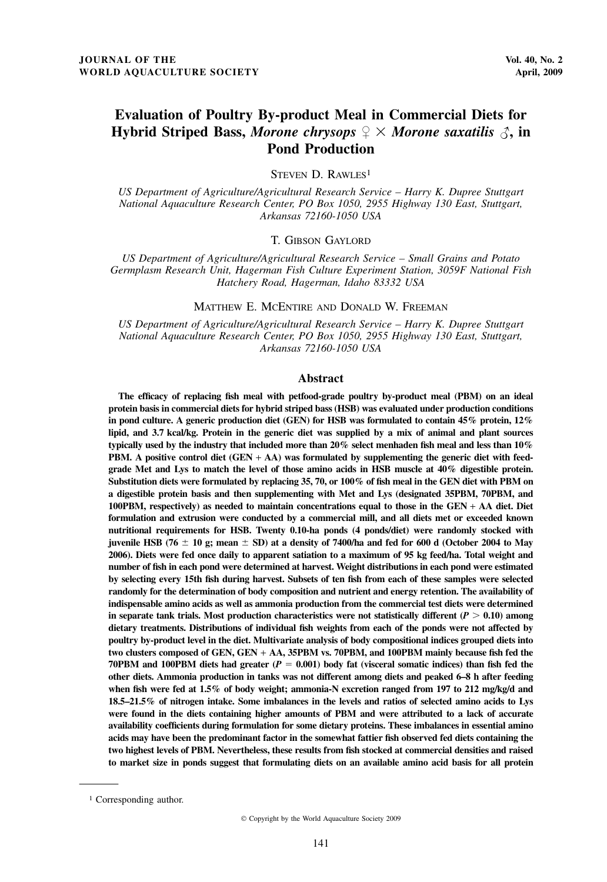# Evaluation of Poultry By-product Meal in Commercial Diets for Hybrid Striped Bass, Morone chrysops  $\mathcal{Q} \times$  Morone saxatilis  $\mathcal{J}$ , in Pond Production

STEVEN D. RAWLES<sup>1</sup>

US Department of Agriculture/Agricultural Research Service – Harry K. Dupree Stuttgart National Aquaculture Research Center, PO Box 1050, 2955 Highway 130 East, Stuttgart, Arkansas 72160-1050 USA

T. GIBSON GAYLORD

US Department of Agriculture/Agricultural Research Service – Small Grains and Potato Germplasm Research Unit, Hagerman Fish Culture Experiment Station, 3059F National Fish Hatchery Road, Hagerman, Idaho 83332 USA

MATTHEW E. MCENTIRE AND DONALD W. FREEMAN

US Department of Agriculture/Agricultural Research Service – Harry K. Dupree Stuttgart National Aquaculture Research Center, PO Box 1050, 2955 Highway 130 East, Stuttgart, Arkansas 72160-1050 USA

#### Abstract

The efficacy of replacing fish meal with petfood-grade poultry by-product meal (PBM) on an ideal protein basis in commercial diets for hybrid striped bass (HSB) was evaluated under production conditions in pond culture. A generic production diet (GEN) for HSB was formulated to contain 45% protein, 12% lipid, and 3.7 kcal/kg. Protein in the generic diet was supplied by a mix of animal and plant sources typically used by the industry that included more than 20% select menhaden fish meal and less than 10% PBM. A positive control diet (GEN + AA) was formulated by supplementing the generic diet with feedgrade Met and Lys to match the level of those amino acids in HSB muscle at 40% digestible protein. Substitution diets were formulated by replacing 35, 70, or 100% of fish meal in the GEN diet with PBM on a digestible protein basis and then supplementing with Met and Lys (designated 35PBM, 70PBM, and 100PBM, respectively) as needed to maintain concentrations equal to those in the GEN + AA diet. Diet formulation and extrusion were conducted by a commercial mill, and all diets met or exceeded known nutritional requirements for HSB. Twenty 0.10-ha ponds (4 ponds/diet) were randomly stocked with juvenile HSB (76  $\pm$  10 g; mean  $\pm$  SD) at a density of 7400/ha and fed for 600 d (October 2004 to May 2006). Diets were fed once daily to apparent satiation to a maximum of 95 kg feed/ha. Total weight and number of fish in each pond were determined at harvest. Weight distributions in each pond were estimated by selecting every 15th fish during harvest. Subsets of ten fish from each of these samples were selected randomly for the determination of body composition and nutrient and energy retention. The availability of indispensable amino acids as well as ammonia production from the commercial test diets were determined in separate tank trials. Most production characteristics were not statistically different ( $P > 0.10$ ) among dietary treatments. Distributions of individual fish weights from each of the ponds were not affected by poultry by-product level in the diet. Multivariate analysis of body compositional indices grouped diets into two clusters composed of GEN, GEN + AA, 35PBM vs. 70PBM, and 100PBM mainly because fish fed the 70PBM and 100PBM diets had greater  $(P = 0.001)$  body fat (visceral somatic indices) than fish fed the other diets. Ammonia production in tanks was not different among diets and peaked 6–8 h after feeding when fish were fed at 1.5% of body weight; ammonia-N excretion ranged from 197 to 212 mg/kg/d and 18.5–21.5% of nitrogen intake. Some imbalances in the levels and ratios of selected amino acids to Lys were found in the diets containing higher amounts of PBM and were attributed to a lack of accurate availability coefficients during formulation for some dietary proteins. These imbalances in essential amino acids may have been the predominant factor in the somewhat fattier fish observed fed diets containing the two highest levels of PBM. Nevertheless, these results from fish stocked at commercial densities and raised to market size in ponds suggest that formulating diets on an available amino acid basis for all protein

<sup>1</sup> Corresponding author.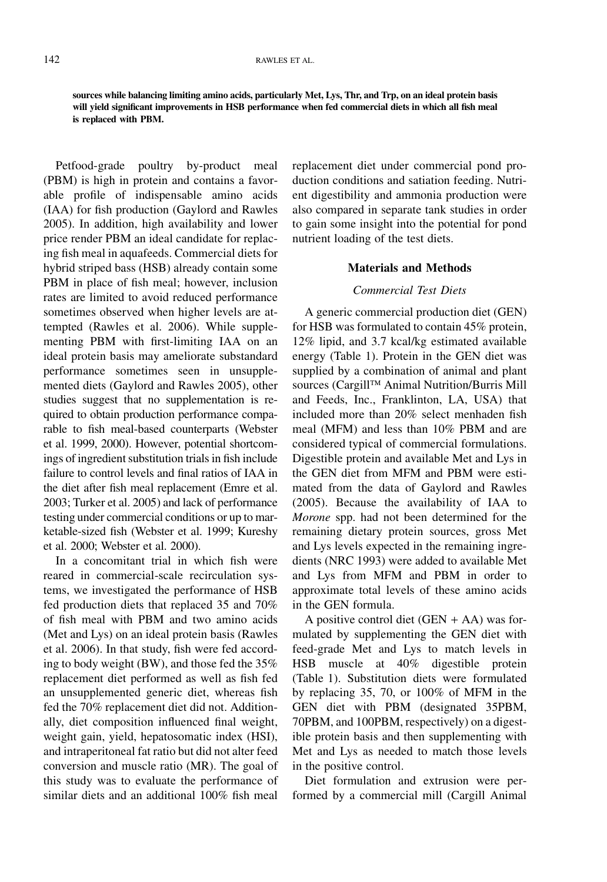#### 142 RAWLES ET AL.

sources while balancing limiting amino acids, particularly Met, Lys, Thr, and Trp, on an ideal protein basis will yield significant improvements in HSB performance when fed commercial diets in which all fish meal is replaced with PBM.

Petfood-grade poultry by-product meal (PBM) is high in protein and contains a favorable profile of indispensable amino acids (IAA) for fish production (Gaylord and Rawles 2005). In addition, high availability and lower price render PBM an ideal candidate for replacing fish meal in aquafeeds. Commercial diets for hybrid striped bass (HSB) already contain some PBM in place of fish meal; however, inclusion rates are limited to avoid reduced performance sometimes observed when higher levels are attempted (Rawles et al. 2006). While supplementing PBM with first-limiting IAA on an ideal protein basis may ameliorate substandard performance sometimes seen in unsupplemented diets (Gaylord and Rawles 2005), other studies suggest that no supplementation is required to obtain production performance comparable to fish meal-based counterparts (Webster et al. 1999, 2000). However, potential shortcomings of ingredient substitution trials in fish include failure to control levels and final ratios of IAA in the diet after fish meal replacement (Emre et al. 2003; Turker et al. 2005) and lack of performance testing under commercial conditions or up to marketable-sized fish (Webster et al. 1999; Kureshy et al. 2000; Webster et al. 2000).

In a concomitant trial in which fish were reared in commercial-scale recirculation systems, we investigated the performance of HSB fed production diets that replaced 35 and 70% of fish meal with PBM and two amino acids (Met and Lys) on an ideal protein basis (Rawles et al. 2006). In that study, fish were fed according to body weight (BW), and those fed the 35% replacement diet performed as well as fish fed an unsupplemented generic diet, whereas fish fed the 70% replacement diet did not. Additionally, diet composition influenced final weight, weight gain, yield, hepatosomatic index (HSI), and intraperitoneal fat ratio but did not alter feed conversion and muscle ratio (MR). The goal of this study was to evaluate the performance of similar diets and an additional 100% fish meal

replacement diet under commercial pond production conditions and satiation feeding. Nutrient digestibility and ammonia production were also compared in separate tank studies in order to gain some insight into the potential for pond nutrient loading of the test diets.

## Materials and Methods

# Commercial Test Diets

A generic commercial production diet (GEN) for HSB was formulated to contain 45% protein, 12% lipid, and 3.7 kcal/kg estimated available energy (Table 1). Protein in the GEN diet was supplied by a combination of animal and plant sources (Cargill™ Animal Nutrition/Burris Mill and Feeds, Inc., Franklinton, LA, USA) that included more than 20% select menhaden fish meal (MFM) and less than 10% PBM and are considered typical of commercial formulations. Digestible protein and available Met and Lys in the GEN diet from MFM and PBM were estimated from the data of Gaylord and Rawles (2005). Because the availability of IAA to Morone spp. had not been determined for the remaining dietary protein sources, gross Met and Lys levels expected in the remaining ingredients (NRC 1993) were added to available Met and Lys from MFM and PBM in order to approximate total levels of these amino acids in the GEN formula.

A positive control diet  $(GEN + AA)$  was formulated by supplementing the GEN diet with feed-grade Met and Lys to match levels in HSB muscle at 40% digestible protein (Table 1). Substitution diets were formulated by replacing 35, 70, or 100% of MFM in the GEN diet with PBM (designated 35PBM, 70PBM, and 100PBM, respectively) on a digestible protein basis and then supplementing with Met and Lys as needed to match those levels in the positive control.

Diet formulation and extrusion were performed by a commercial mill (Cargill Animal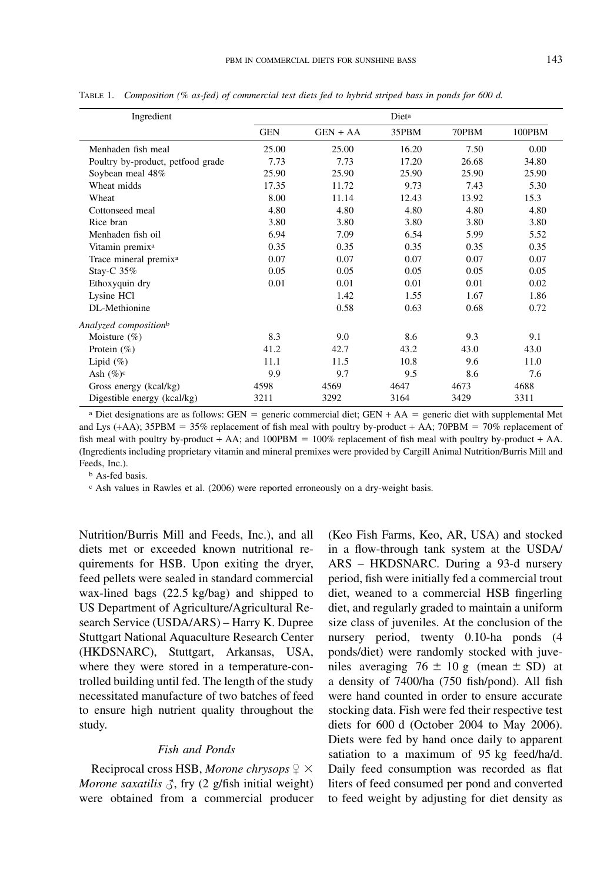| Ingredient                        | Dieta      |            |       |       |        |  |  |  |
|-----------------------------------|------------|------------|-------|-------|--------|--|--|--|
|                                   | <b>GEN</b> | $GEN + AA$ | 35PBM | 70PBM | 100PBM |  |  |  |
| Menhaden fish meal                | 25.00      | 25.00      | 16.20 | 7.50  | 0.00   |  |  |  |
| Poultry by-product, petfood grade | 7.73       | 7.73       | 17.20 | 26.68 | 34.80  |  |  |  |
| Soybean meal 48%                  | 25.90      | 25.90      | 25.90 | 25.90 | 25.90  |  |  |  |
| Wheat midds                       | 17.35      | 11.72      | 9.73  | 7.43  | 5.30   |  |  |  |
| Wheat                             | 8.00       | 11.14      | 12.43 | 13.92 | 15.3   |  |  |  |
| Cottonseed meal                   | 4.80       | 4.80       | 4.80  | 4.80  | 4.80   |  |  |  |
| Rice bran                         | 3.80       | 3.80       | 3.80  | 3.80  | 3.80   |  |  |  |
| Menhaden fish oil                 | 6.94       | 7.09       | 6.54  | 5.99  | 5.52   |  |  |  |
| Vitamin premix <sup>a</sup>       | 0.35       | 0.35       | 0.35  | 0.35  | 0.35   |  |  |  |
| Trace mineral premix <sup>a</sup> | 0.07       | 0.07       | 0.07  | 0.07  | 0.07   |  |  |  |
| Stay-C $35%$                      | 0.05       | 0.05       | 0.05  | 0.05  | 0.05   |  |  |  |
| Ethoxyquin dry                    | 0.01       | 0.01       | 0.01  | 0.01  | 0.02   |  |  |  |
| Lysine HCl                        |            | 1.42       | 1.55  | 1.67  | 1.86   |  |  |  |
| DL-Methionine                     |            | 0.58       | 0.63  | 0.68  | 0.72   |  |  |  |
| Analyzed compositionb             |            |            |       |       |        |  |  |  |
| Moisture $(\% )$                  | 8.3        | 9.0        | 8.6   | 9.3   | 9.1    |  |  |  |
| Protein $(\% )$                   | 41.2       | 42.7       | 43.2  | 43.0  | 43.0   |  |  |  |
| Lipid $(\%)$                      | 11.1       | 11.5       | 10.8  | 9.6   | 11.0   |  |  |  |
| Ash $(\%)^c$                      | 9.9        | 9.7        | 9.5   | 8.6   | 7.6    |  |  |  |
| Gross energy (kcal/kg)            | 4598       | 4569       | 4647  | 4673  | 4688   |  |  |  |
| Digestible energy (kcal/kg)       | 3211       | 3292       | 3164  | 3429  | 3311   |  |  |  |

TABLE 1. Composition (% as-fed) of commercial test diets fed to hybrid striped bass in ponds for 600 d.

<sup>a</sup> Diet designations are as follows: GEN = generic commercial diet; GEN + AA = generic diet with supplemental Met and Lys (+AA); 35PBM = 35% replacement of fish meal with poultry by-product + AA; 70PBM = 70% replacement of fish meal with poultry by-product + AA; and  $100$ PBM =  $100\%$  replacement of fish meal with poultry by-product + AA. (Ingredients including proprietary vitamin and mineral premixes were provided by Cargill Animal Nutrition/Burris Mill and Feeds, Inc.).

b As-fed basis.

c Ash values in Rawles et al. (2006) were reported erroneously on a dry-weight basis.

Nutrition/Burris Mill and Feeds, Inc.), and all diets met or exceeded known nutritional requirements for HSB. Upon exiting the dryer, feed pellets were sealed in standard commercial wax-lined bags (22.5 kg/bag) and shipped to US Department of Agriculture/Agricultural Research Service (USDA/ARS) – Harry K. Dupree Stuttgart National Aquaculture Research Center (HKDSNARC), Stuttgart, Arkansas, USA, where they were stored in a temperature-controlled building until fed. The length of the study necessitated manufacture of two batches of feed to ensure high nutrient quality throughout the study.

#### Fish and Ponds

Reciprocal cross HSB, Morone chrysops  $\varphi \times$ Morone saxatilis  $\beta$ , fry (2 g/fish initial weight) were obtained from a commercial producer (Keo Fish Farms, Keo, AR, USA) and stocked in a flow-through tank system at the USDA/ ARS – HKDSNARC. During a 93-d nursery period, fish were initially fed a commercial trout diet, weaned to a commercial HSB fingerling diet, and regularly graded to maintain a uniform size class of juveniles. At the conclusion of the nursery period, twenty 0.10-ha ponds (4 ponds/diet) were randomly stocked with juveniles averaging  $76 \pm 10$  g (mean  $\pm$  SD) at a density of 7400/ha (750 fish/pond). All fish were hand counted in order to ensure accurate stocking data. Fish were fed their respective test diets for 600 d (October 2004 to May 2006). Diets were fed by hand once daily to apparent satiation to a maximum of 95 kg feed/ha/d. Daily feed consumption was recorded as flat liters of feed consumed per pond and converted to feed weight by adjusting for diet density as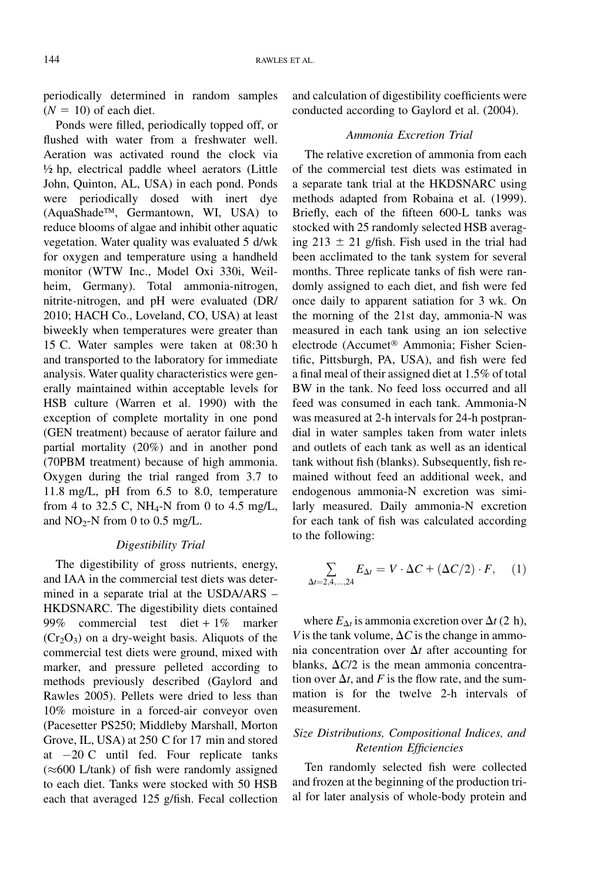periodically determined in random samples  $(N = 10)$  of each diet.

Ponds were filled, periodically topped off, or flushed with water from a freshwater well. Aeration was activated round the clock via ½ hp, electrical paddle wheel aerators (Little John, Quinton, AL, USA) in each pond. Ponds were periodically dosed with inert dye (AquaShade™, Germantown, WI, USA) to reduce blooms of algae and inhibit other aquatic vegetation. Water quality was evaluated 5 d/wk for oxygen and temperature using a handheld monitor (WTW Inc., Model Oxi 330i, Weilheim, Germany). Total ammonia-nitrogen, nitrite-nitrogen, and pH were evaluated (DR/ 2010; HACH Co., Loveland, CO, USA) at least biweekly when temperatures were greater than 15 C. Water samples were taken at 08:30 h and transported to the laboratory for immediate analysis. Water quality characteristics were generally maintained within acceptable levels for HSB culture (Warren et al. 1990) with the exception of complete mortality in one pond (GEN treatment) because of aerator failure and partial mortality (20%) and in another pond (70PBM treatment) because of high ammonia. Oxygen during the trial ranged from 3.7 to 11.8 mg/L, pH from 6.5 to 8.0, temperature from 4 to 32.5 C, NH<sub>4</sub>-N from 0 to 4.5 mg/L, and  $NO<sub>2</sub>-N$  from 0 to 0.5 mg/L.

### Digestibility Trial

The digestibility of gross nutrients, energy, and IAA in the commercial test diets was determined in a separate trial at the USDA/ARS – HKDSNARC. The digestibility diets contained 99% commercial test diet + 1% marker  $(Cr<sub>2</sub>O<sub>3</sub>)$  on a dry-weight basis. Aliquots of the commercial test diets were ground, mixed with marker, and pressure pelleted according to methods previously described (Gaylord and Rawles 2005). Pellets were dried to less than 10% moisture in a forced-air conveyor oven (Pacesetter PS250; Middleby Marshall, Morton Grove, IL, USA) at 250 C for 17 min and stored at  $-20$  C until fed. Four replicate tanks  $(\approx 600$  L/tank) of fish were randomly assigned to each diet. Tanks were stocked with 50 HSB each that averaged 125 g/fish. Fecal collection

and calculation of digestibility coefficients were conducted according to Gaylord et al. (2004).

# Ammonia Excretion Trial

The relative excretion of ammonia from each of the commercial test diets was estimated in a separate tank trial at the HKDSNARC using methods adapted from Robaina et al. (1999). Briefly, each of the fifteen 600-L tanks was stocked with 25 randomly selected HSB averaging  $213 \pm 21$  g/fish. Fish used in the trial had been acclimated to the tank system for several months. Three replicate tanks of fish were randomly assigned to each diet, and fish were fed once daily to apparent satiation for 3 wk. On the morning of the 21st day, ammonia-N was measured in each tank using an ion selective electrode (Accumet<sup>®</sup> Ammonia; Fisher Scientific, Pittsburgh, PA, USA), and fish were fed a final meal of their assigned diet at 1.5% of total BW in the tank. No feed loss occurred and all feed was consumed in each tank. Ammonia-N was measured at 2-h intervals for 24-h postprandial in water samples taken from water inlets and outlets of each tank as well as an identical tank without fish (blanks). Subsequently, fish remained without feed an additional week, and endogenous ammonia-N excretion was similarly measured. Daily ammonia-N excretion for each tank of fish was calculated according to the following:

$$
\sum_{\Delta t=2,4,\dots,24} E_{\Delta t} = V \cdot \Delta C + (\Delta C/2) \cdot F, \quad (1)
$$

where  $E_{\Delta t}$  is ammonia excretion over  $\Delta t$  (2 h), V is the tank volume,  $\Delta C$  is the change in ammonia concentration over  $\Delta t$  after accounting for blanks,  $\Delta C/2$  is the mean ammonia concentration over  $\Delta t$ , and F is the flow rate, and the summation is for the twelve 2-h intervals of measurement.

# Size Distributions, Compositional Indices, and Retention Efficiencies

Ten randomly selected fish were collected and frozen at the beginning of the production trial for later analysis of whole-body protein and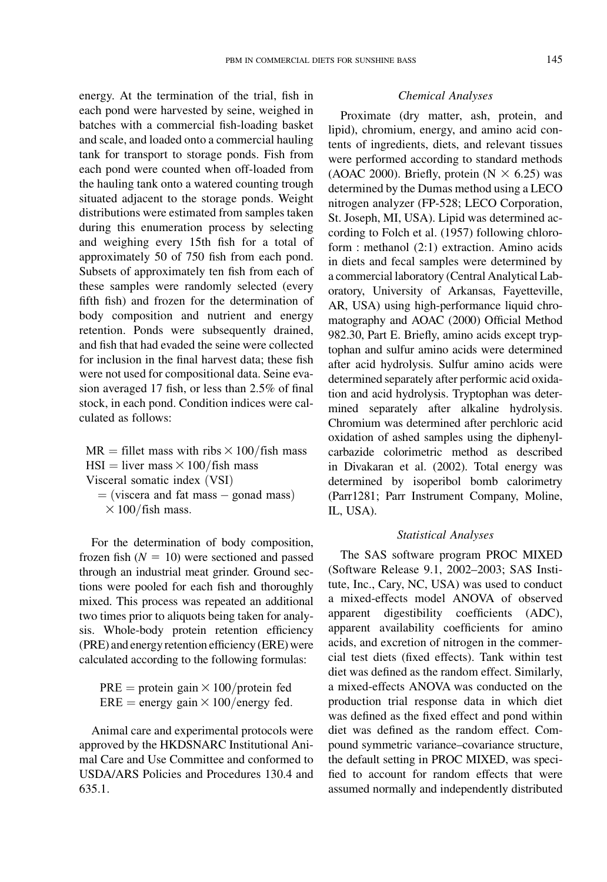energy. At the termination of the trial, fish in each pond were harvested by seine, weighed in batches with a commercial fish-loading basket and scale, and loaded onto a commercial hauling tank for transport to storage ponds. Fish from each pond were counted when off-loaded from the hauling tank onto a watered counting trough situated adjacent to the storage ponds. Weight distributions were estimated from samples taken during this enumeration process by selecting and weighing every 15th fish for a total of approximately 50 of 750 fish from each pond. Subsets of approximately ten fish from each of these samples were randomly selected (every fifth fish) and frozen for the determination of body composition and nutrient and energy retention. Ponds were subsequently drained, and fish that had evaded the seine were collected for inclusion in the final harvest data; these fish were not used for compositional data. Seine evasion averaged 17 fish, or less than 2.5% of final stock, in each pond. Condition indices were calculated as follows:

 $MR =$  fillet mass with ribs  $\times 100$ /fish mass  $HSI = liver mass \times 100/fish mass$ Visceral somatic index (VSI)

 $=$  (viscera and fat mass  $-$  gonad mass)  $\times$  100/fish mass.

For the determination of body composition, frozen fish  $(N = 10)$  were sectioned and passed through an industrial meat grinder. Ground sections were pooled for each fish and thoroughly mixed. This process was repeated an additional two times prior to aliquots being taken for analysis. Whole-body protein retention efficiency (PRE) and energy retention efficiency (ERE) were calculated according to the following formulas:

 $PRE = protein gain \times 100/protein fed$ ERE = energy gain  $\times$  100/energy fed.

Animal care and experimental protocols were approved by the HKDSNARC Institutional Animal Care and Use Committee and conformed to USDA/ARS Policies and Procedures 130.4 and 635.1.

#### Chemical Analyses

Proximate (dry matter, ash, protein, and lipid), chromium, energy, and amino acid contents of ingredients, diets, and relevant tissues were performed according to standard methods (AOAC 2000). Briefly, protein ( $N \times 6.25$ ) was determined by the Dumas method using a LECO nitrogen analyzer (FP-528; LECO Corporation, St. Joseph, MI, USA). Lipid was determined according to Folch et al. (1957) following chloroform : methanol (2:1) extraction. Amino acids in diets and fecal samples were determined by a commercial laboratory (Central Analytical Laboratory, University of Arkansas, Fayetteville, AR, USA) using high-performance liquid chromatography and AOAC (2000) Official Method 982.30, Part E. Briefly, amino acids except tryptophan and sulfur amino acids were determined after acid hydrolysis. Sulfur amino acids were determined separately after performic acid oxidation and acid hydrolysis. Tryptophan was determined separately after alkaline hydrolysis. Chromium was determined after perchloric acid oxidation of ashed samples using the diphenylcarbazide colorimetric method as described in Divakaran et al. (2002). Total energy was determined by isoperibol bomb calorimetry (Parr1281; Parr Instrument Company, Moline, IL, USA).

#### Statistical Analyses

The SAS software program PROC MIXED (Software Release 9.1, 2002–2003; SAS Institute, Inc., Cary, NC, USA) was used to conduct a mixed-effects model ANOVA of observed apparent digestibility coefficients (ADC), apparent availability coefficients for amino acids, and excretion of nitrogen in the commercial test diets (fixed effects). Tank within test diet was defined as the random effect. Similarly, a mixed-effects ANOVA was conducted on the production trial response data in which diet was defined as the fixed effect and pond within diet was defined as the random effect. Compound symmetric variance–covariance structure, the default setting in PROC MIXED, was specified to account for random effects that were assumed normally and independently distributed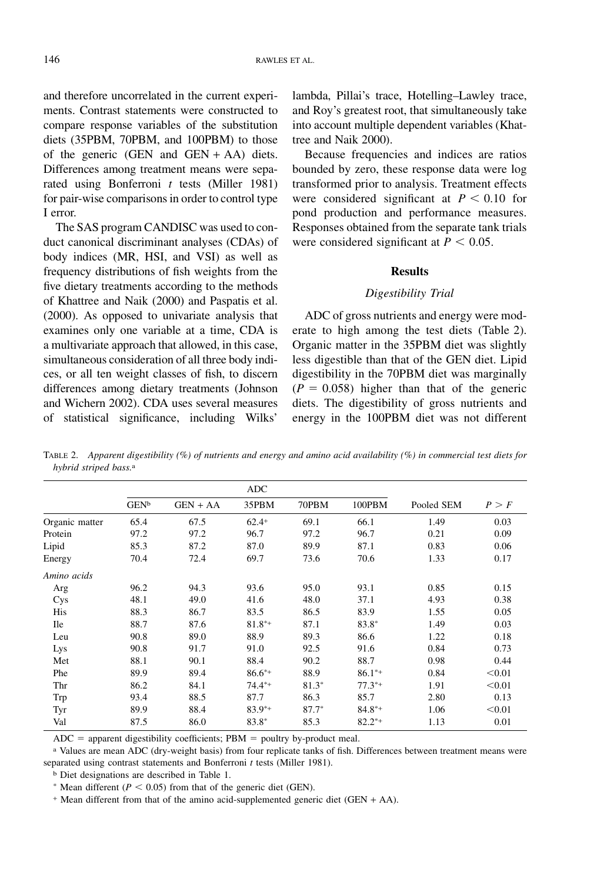and therefore uncorrelated in the current experiments. Contrast statements were constructed to compare response variables of the substitution diets (35PBM, 70PBM, and 100PBM) to those of the generic (GEN and GEN + AA) diets. Differences among treatment means were separated using Bonferroni  $t$  tests (Miller 1981) for pair-wise comparisons in order to control type I error.

The SAS program CANDISC was used to conduct canonical discriminant analyses (CDAs) of body indices (MR, HSI, and VSI) as well as frequency distributions of fish weights from the five dietary treatments according to the methods of Khattree and Naik (2000) and Paspatis et al. (2000). As opposed to univariate analysis that examines only one variable at a time, CDA is a multivariate approach that allowed, in this case, simultaneous consideration of all three body indices, or all ten weight classes of fish, to discern differences among dietary treatments (Johnson and Wichern 2002). CDA uses several measures of statistical significance, including Wilks'

lambda, Pillai's trace, Hotelling–Lawley trace, and Roy's greatest root, that simultaneously take into account multiple dependent variables (Khattree and Naik 2000).

Because frequencies and indices are ratios bounded by zero, these response data were log transformed prior to analysis. Treatment effects were considered significant at  $P < 0.10$  for pond production and performance measures. Responses obtained from the separate tank trials were considered significant at  $P < 0.05$ .

### Results

### Digestibility Trial

ADC of gross nutrients and energy were moderate to high among the test diets (Table 2). Organic matter in the 35PBM diet was slightly less digestible than that of the GEN diet. Lipid digestibility in the 70PBM diet was marginally  $(P = 0.058)$  higher than that of the generic diets. The digestibility of gross nutrients and energy in the 100PBM diet was not different

TABLE 2. Apparent digestibility (%) of nutrients and energy and amino acid availability (%) in commercial test diets for hybrid striped bass.a

|                | <b>ADC</b>  |            |             |         |             |            |        |
|----------------|-------------|------------|-------------|---------|-------------|------------|--------|
|                | <b>GENb</b> | $GEN + AA$ | 35PBM       | 70PBM   | 100PBM      | Pooled SEM | P > F  |
| Organic matter | 65.4        | 67.5       | $62.4+$     | 69.1    | 66.1        | 1.49       | 0.03   |
| Protein        | 97.2        | 97.2       | 96.7        | 97.2    | 96.7        | 0.21       | 0.09   |
| Lipid          | 85.3        | 87.2       | 87.0        | 89.9    | 87.1        | 0.83       | 0.06   |
| Energy         | 70.4        | 72.4       | 69.7        | 73.6    | 70.6        | 1.33       | 0.17   |
| Amino acids    |             |            |             |         |             |            |        |
| Arg            | 96.2        | 94.3       | 93.6        | 95.0    | 93.1        | 0.85       | 0.15   |
| Cys            | 48.1        | 49.0       | 41.6        | 48.0    | 37.1        | 4.93       | 0.38   |
| His            | 88.3        | 86.7       | 83.5        | 86.5    | 83.9        | 1.55       | 0.05   |
| <b>Ile</b>     | 88.7        | 87.6       | $81.8**$    | 87.1    | 83.8*       | 1.49       | 0.03   |
| Leu            | 90.8        | 89.0       | 88.9        | 89.3    | 86.6        | 1.22       | 0.18   |
| Lys            | 90.8        | 91.7       | 91.0        | 92.5    | 91.6        | 0.84       | 0.73   |
| Met            | 88.1        | 90.1       | 88.4        | 90.2    | 88.7        | 0.98       | 0.44   |
| Phe            | 89.9        | 89.4       | $86.6^{*+}$ | 88.9    | $86.1^{*+}$ | 0.84       | < 0.01 |
| Thr            | 86.2        | 84.1       | $74.4**$    | 81.3*   | $77.3^{*+}$ | 1.91       | < 0.01 |
| Trp            | 93.4        | 88.5       | 87.7        | 86.3    | 85.7        | 2.80       | 0.13   |
| Tyr            | 89.9        | 88.4       | $83.9**$    | $87.7*$ | $84.8**$    | 1.06       | < 0.01 |
| Val            | 87.5        | 86.0       | 83.8*       | 85.3    | $82.2^{*+}$ | 1.13       | 0.01   |

 $ADC = apparent digestibility coefficients; PBM = \text{poultry by-product meal.}$ 

a Values are mean ADC (dry-weight basis) from four replicate tanks of fish. Differences between treatment means were separated using contrast statements and Bonferroni t tests (Miller 1981).

b Diet designations are described in Table 1.

\* Mean different ( $P < 0.05$ ) from that of the generic diet (GEN).

+ Mean different from that of the amino acid-supplemented generic diet (GEN + AA).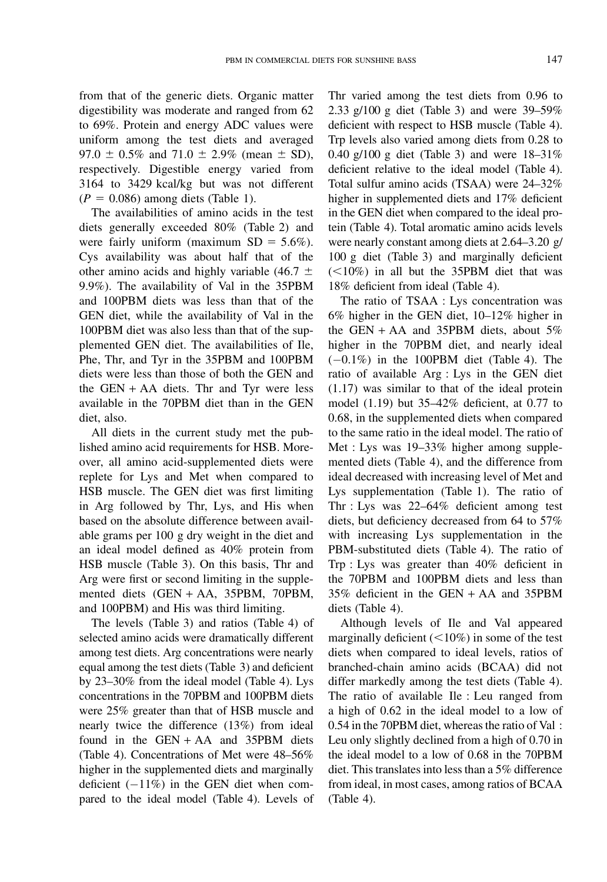from that of the generic diets. Organic matter digestibility was moderate and ranged from 62 to 69%. Protein and energy ADC values were uniform among the test diets and averaged 97.0  $\pm$  0.5% and 71.0  $\pm$  2.9% (mean  $\pm$  SD), respectively. Digestible energy varied from 3164 to 3429 kcal/kg but was not different  $(P = 0.086)$  among diets (Table 1).

The availabilities of amino acids in the test diets generally exceeded 80% (Table 2) and were fairly uniform (maximum  $SD = 5.6\%$ ). Cys availability was about half that of the other amino acids and highly variable (46.7  $\pm$ 9.9%). The availability of Val in the 35PBM and 100PBM diets was less than that of the GEN diet, while the availability of Val in the 100PBM diet was also less than that of the supplemented GEN diet. The availabilities of Ile, Phe, Thr, and Tyr in the 35PBM and 100PBM diets were less than those of both the GEN and the  $GEN + AA$  diets. Thr and Tyr were less available in the 70PBM diet than in the GEN diet, also.

All diets in the current study met the published amino acid requirements for HSB. Moreover, all amino acid-supplemented diets were replete for Lys and Met when compared to HSB muscle. The GEN diet was first limiting in Arg followed by Thr, Lys, and His when based on the absolute difference between available grams per 100 g dry weight in the diet and an ideal model defined as 40% protein from HSB muscle (Table 3). On this basis, Thr and Arg were first or second limiting in the supplemented diets (GEN + AA, 35PBM, 70PBM, and 100PBM) and His was third limiting.

The levels (Table 3) and ratios (Table 4) of selected amino acids were dramatically different among test diets. Arg concentrations were nearly equal among the test diets (Table 3) and deficient by 23–30% from the ideal model (Table 4). Lys concentrations in the 70PBM and 100PBM diets were 25% greater than that of HSB muscle and nearly twice the difference (13%) from ideal found in the GEN + AA and 35PBM diets (Table 4). Concentrations of Met were 48–56% higher in the supplemented diets and marginally deficient  $(-11\%)$  in the GEN diet when compared to the ideal model (Table 4). Levels of Thr varied among the test diets from 0.96 to 2.33 g/100 g diet (Table 3) and were 39–59% deficient with respect to HSB muscle (Table 4). Trp levels also varied among diets from 0.28 to 0.40 g/100 g diet (Table 3) and were 18–31% deficient relative to the ideal model (Table 4). Total sulfur amino acids (TSAA) were 24–32% higher in supplemented diets and 17% deficient in the GEN diet when compared to the ideal protein (Table 4). Total aromatic amino acids levels were nearly constant among diets at 2.64–3.20 g/ 100 g diet (Table 3) and marginally deficient  $(<10\%)$  in all but the 35PBM diet that was 18% deficient from ideal (Table 4).

The ratio of TSAA : Lys concentration was 6% higher in the GEN diet, 10–12% higher in the GEN + AA and 35PBM diets, about  $5\%$ higher in the 70PBM diet, and nearly ideal  $(-0.1\%)$  in the 100PBM diet (Table 4). The ratio of available Arg : Lys in the GEN diet (1.17) was similar to that of the ideal protein model (1.19) but 35–42% deficient, at 0.77 to 0.68, in the supplemented diets when compared to the same ratio in the ideal model. The ratio of Met : Lys was 19–33% higher among supplemented diets (Table 4), and the difference from ideal decreased with increasing level of Met and Lys supplementation (Table 1). The ratio of Thr : Lys was 22–64% deficient among test diets, but deficiency decreased from 64 to 57% with increasing Lys supplementation in the PBM-substituted diets (Table 4). The ratio of Trp : Lys was greater than 40% deficient in the 70PBM and 100PBM diets and less than 35% deficient in the GEN + AA and 35PBM diets (Table 4).

Although levels of Ile and Val appeared marginally deficient  $(<10\%)$  in some of the test diets when compared to ideal levels, ratios of branched-chain amino acids (BCAA) did not differ markedly among the test diets (Table 4). The ratio of available Ile : Leu ranged from a high of 0.62 in the ideal model to a low of 0.54 in the 70PBM diet, whereas the ratio of Val : Leu only slightly declined from a high of 0.70 in the ideal model to a low of 0.68 in the 70PBM diet. This translates into less than a 5% difference from ideal, in most cases, among ratios of BCAA (Table 4).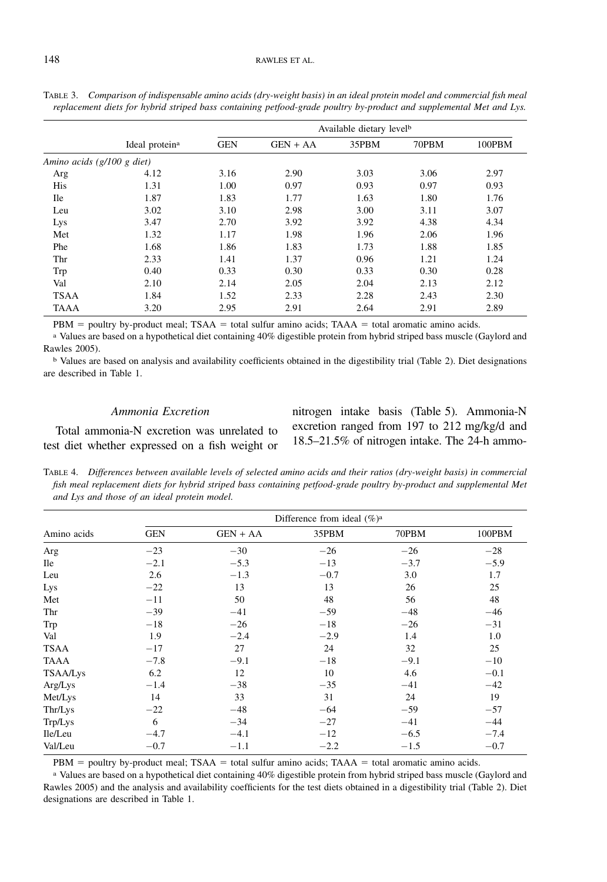#### 148 RAWLES ET AL.

|                            |                            | Available dietary levelb |            |       |       |        |  |  |  |
|----------------------------|----------------------------|--------------------------|------------|-------|-------|--------|--|--|--|
|                            | Ideal protein <sup>a</sup> | <b>GEN</b>               | $GEN + AA$ | 35PBM | 70PBM | 100PBM |  |  |  |
| Amino acids (g/100 g diet) |                            |                          |            |       |       |        |  |  |  |
| Arg                        | 4.12                       | 3.16                     | 2.90       | 3.03  | 3.06  | 2.97   |  |  |  |
| His                        | 1.31                       | 1.00                     | 0.97       | 0.93  | 0.97  | 0.93   |  |  |  |
| <b>Ile</b>                 | 1.87                       | 1.83                     | 1.77       | 1.63  | 1.80  | 1.76   |  |  |  |
| Leu                        | 3.02                       | 3.10                     | 2.98       | 3.00  | 3.11  | 3.07   |  |  |  |
| Lys                        | 3.47                       | 2.70                     | 3.92       | 3.92  | 4.38  | 4.34   |  |  |  |
| Met                        | 1.32                       | 1.17                     | 1.98       | 1.96  | 2.06  | 1.96   |  |  |  |
| Phe                        | 1.68                       | 1.86                     | 1.83       | 1.73  | 1.88  | 1.85   |  |  |  |
| Thr                        | 2.33                       | 1.41                     | 1.37       | 0.96  | 1.21  | 1.24   |  |  |  |
| Trp                        | 0.40                       | 0.33                     | 0.30       | 0.33  | 0.30  | 0.28   |  |  |  |
| Val                        | 2.10                       | 2.14                     | 2.05       | 2.04  | 2.13  | 2.12   |  |  |  |
| <b>TSAA</b>                | 1.84                       | 1.52                     | 2.33       | 2.28  | 2.43  | 2.30   |  |  |  |
| <b>TAAA</b>                | 3.20                       | 2.95                     | 2.91       | 2.64  | 2.91  | 2.89   |  |  |  |

TABLE 3. Comparison of indispensable amino acids (dry-weight basis) in an ideal protein model and commercial fish meal replacement diets for hybrid striped bass containing petfood-grade poultry by-product and supplemental Met and Lys.

PBM = poultry by-product meal; TSAA = total sulfur amino acids; TAAA = total aromatic amino acids.

a Values are based on a hypothetical diet containing 40% digestible protein from hybrid striped bass muscle (Gaylord and Rawles 2005).

b Values are based on analysis and availability coefficients obtained in the digestibility trial (Table 2). Diet designations are described in Table 1.

#### Ammonia Excretion

Total ammonia-N excretion was unrelated to test diet whether expressed on a fish weight or nitrogen intake basis (Table 5). Ammonia-N excretion ranged from 197 to 212 mg/kg/d and 18.5–21.5% of nitrogen intake. The 24-h ammo-

TABLE 4. Differences between available levels of selected amino acids and their ratios (dry-weight basis) in commercial fish meal replacement diets for hybrid striped bass containing petfood-grade poultry by-product and supplemental Met and Lys and those of an ideal protein model.

|             |            | Difference from ideal $(\% )^a$ |        |        |        |  |  |  |  |  |
|-------------|------------|---------------------------------|--------|--------|--------|--|--|--|--|--|
| Amino acids | <b>GEN</b> | $GEN + AA$                      | 35PBM  | 70PBM  | 100PBM |  |  |  |  |  |
| Arg         | $-23$      | $-30$                           | $-26$  | $-26$  | $-28$  |  |  |  |  |  |
| <b>Ile</b>  | $-2.1$     | $-5.3$                          | $-13$  | $-3.7$ | $-5.9$ |  |  |  |  |  |
| Leu         | 2.6        | $-1.3$                          | $-0.7$ | 3.0    | 1.7    |  |  |  |  |  |
| Lys         | $-22$      | 13                              | 13     | 26     | 25     |  |  |  |  |  |
| Met         | $-11$      | 50                              | 48     | 56     | 48     |  |  |  |  |  |
| Thr         | $-39$      | $-41$                           | $-59$  | $-48$  | $-46$  |  |  |  |  |  |
| Trp         | $-18$      | $-26$                           | $-18$  | $-26$  | $-31$  |  |  |  |  |  |
| Val         | 1.9        | $-2.4$                          | $-2.9$ | 1.4    | 1.0    |  |  |  |  |  |
| <b>TSAA</b> | $-17$      | 27                              | 24     | 32     | 25     |  |  |  |  |  |
| TAAA        | $-7.8$     | $-9.1$                          | $-18$  | $-9.1$ | $-10$  |  |  |  |  |  |
| TSAA/Lys    | 6.2        | 12                              | 10     | 4.6    | $-0.1$ |  |  |  |  |  |
| Arg/Lys     | $-1.4$     | $-38$                           | $-35$  | $-41$  | $-42$  |  |  |  |  |  |
| Met/Lys     | 14         | 33                              | 31     | 24     | 19     |  |  |  |  |  |
| Thr/Lys     | $-22$      | $-48$                           | $-64$  | $-59$  | $-57$  |  |  |  |  |  |
| Trp/Lys     | 6          | $-34$                           | $-27$  | $-41$  | $-44$  |  |  |  |  |  |
| Ile/Leu     | $-4.7$     | $-4.1$                          | $-12$  | $-6.5$ | $-7.4$ |  |  |  |  |  |
| Val/Leu     | $-0.7$     | $-1.1$                          | $-2.2$ | $-1.5$ | $-0.7$ |  |  |  |  |  |

PBM = poultry by-product meal; TSAA = total sulfur amino acids; TAAA = total aromatic amino acids.

a Values are based on a hypothetical diet containing 40% digestible protein from hybrid striped bass muscle (Gaylord and Rawles 2005) and the analysis and availability coefficients for the test diets obtained in a digestibility trial (Table 2). Diet designations are described in Table 1.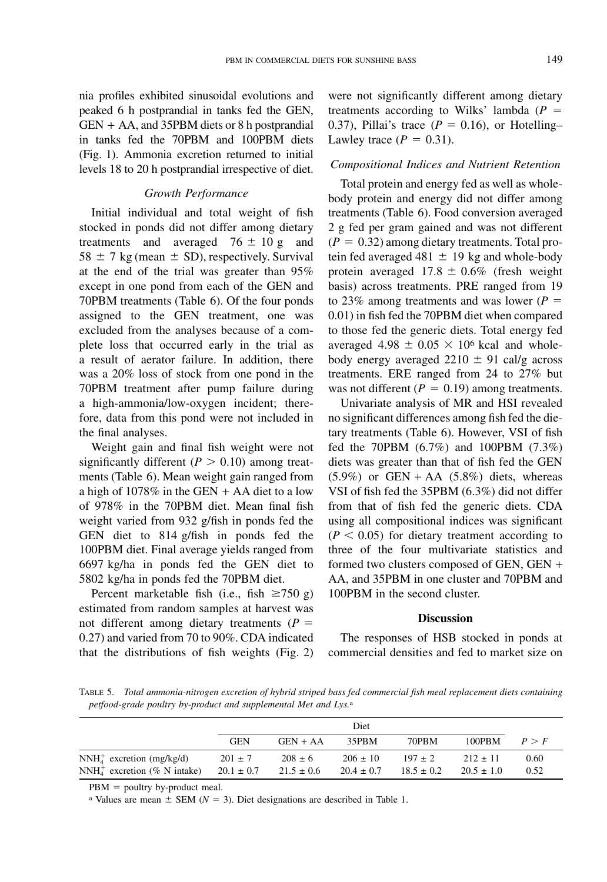nia profiles exhibited sinusoidal evolutions and peaked 6 h postprandial in tanks fed the GEN, GEN + AA, and 35PBM diets or 8 h postprandial in tanks fed the 70PBM and 100PBM diets (Fig. 1). Ammonia excretion returned to initial levels 18 to 20 h postprandial irrespective of diet.

# Growth Performance

Initial individual and total weight of fish stocked in ponds did not differ among dietary treatments and averaged  $76 \pm 10$  g and  $58 \pm 7$  kg (mean  $\pm$  SD), respectively. Survival at the end of the trial was greater than 95% except in one pond from each of the GEN and 70PBM treatments (Table 6). Of the four ponds assigned to the GEN treatment, one was excluded from the analyses because of a complete loss that occurred early in the trial as a result of aerator failure. In addition, there was a 20% loss of stock from one pond in the 70PBM treatment after pump failure during a high-ammonia/low-oxygen incident; therefore, data from this pond were not included in the final analyses.

Weight gain and final fish weight were not significantly different ( $P > 0.10$ ) among treatments (Table 6). Mean weight gain ranged from a high of  $1078\%$  in the GEN + AA diet to a low of 978% in the 70PBM diet. Mean final fish weight varied from 932 g/fish in ponds fed the GEN diet to 814 g/fish in ponds fed the 100PBM diet. Final average yields ranged from 6697 kg/ha in ponds fed the GEN diet to 5802 kg/ha in ponds fed the 70PBM diet.

Percent marketable fish (i.e., fish  $\geq 750$  g) estimated from random samples at harvest was not different among dietary treatments ( $P =$ 0.27) and varied from 70 to 90%. CDA indicated that the distributions of fish weights (Fig. 2) were not significantly different among dietary treatments according to Wilks' lambda ( $P =$ 0.37), Pillai's trace ( $P = 0.16$ ), or Hotelling– Lawley trace  $(P = 0.31)$ .

# Compositional Indices and Nutrient Retention

Total protein and energy fed as well as wholebody protein and energy did not differ among treatments (Table 6). Food conversion averaged 2 g fed per gram gained and was not different  $(P = 0.32)$  among dietary treatments. Total protein fed averaged 481  $\pm$  19 kg and whole-body protein averaged  $17.8 \pm 0.6\%$  (fresh weight basis) across treatments. PRE ranged from 19 to 23% among treatments and was lower ( $P =$ 0.01) in fish fed the 70PBM diet when compared to those fed the generic diets. Total energy fed averaged 4.98  $\pm$  0.05  $\times$  10<sup>6</sup> kcal and wholebody energy averaged  $2210 \pm 91$  cal/g across treatments. ERE ranged from 24 to 27% but was not different ( $P = 0.19$ ) among treatments.

Univariate analysis of MR and HSI revealed no significant differences among fish fed the dietary treatments (Table 6). However, VSI of fish fed the 70PBM (6.7%) and 100PBM (7.3%) diets was greater than that of fish fed the GEN  $(5.9\%)$  or GEN + AA  $(5.8\%)$  diets, whereas VSI of fish fed the 35PBM (6.3%) did not differ from that of fish fed the generic diets. CDA using all compositional indices was significant  $(P < 0.05)$  for dietary treatment according to three of the four multivariate statistics and formed two clusters composed of GEN, GEN + AA, and 35PBM in one cluster and 70PBM and 100PBM in the second cluster.

### **Discussion**

The responses of HSB stocked in ponds at commercial densities and fed to market size on

TABLE 5. Total ammonia-nitrogen excretion of hybrid striped bass fed commercial fish meal replacement diets containing petfood-grade poultry by-product and supplemental Met and Lys.<sup>a</sup>

|                                                               |                               | Diet                          |                                |                               |                                |              |
|---------------------------------------------------------------|-------------------------------|-------------------------------|--------------------------------|-------------------------------|--------------------------------|--------------|
|                                                               | <b>GEN</b>                    | $GEN + AA$                    | 35PBM                          | 70PBM                         | 100PBM                         | P > F        |
| $NNH4+$ excretion (mg/kg/d)<br>$NNH4+$ excretion (% N intake) | $201 \pm 7$<br>$20.1 \pm 0.7$ | $208 \pm 6$<br>$21.5 \pm 0.6$ | $206 \pm 10$<br>$20.4 \pm 0.7$ | $197 \pm 2$<br>$18.5 \pm 0.2$ | $212 \pm 11$<br>$20.5 \pm 1.0$ | 0.60<br>0.52 |

 $PBM =$  poultry by-product meal.

<sup>a</sup> Values are mean  $\pm$  SEM ( $N = 3$ ). Diet designations are described in Table 1.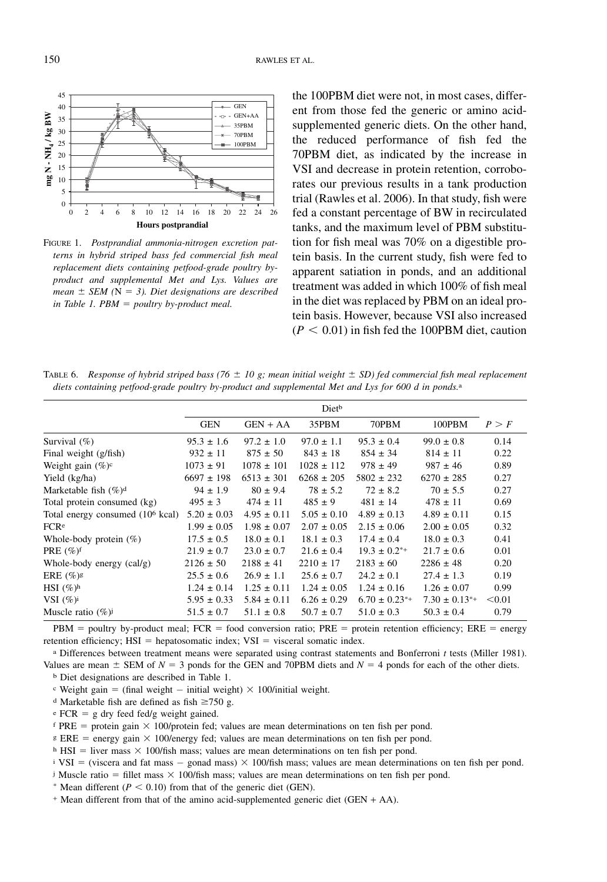

FIGURE 1. Postprandial ammonia-nitrogen excretion patterns in hybrid striped bass fed commercial fish meal replacement diets containing petfood-grade poultry byproduct and supplemental Met and Lys. Values are mean  $\pm$  SEM (N = 3). Diet designations are described in Table 1. PBM  $=$  poultry by-product meal.

the 100PBM diet were not, in most cases, different from those fed the generic or amino acidsupplemented generic diets. On the other hand, the reduced performance of fish fed the 70PBM diet, as indicated by the increase in VSI and decrease in protein retention, corroborates our previous results in a tank production trial (Rawles et al. 2006). In that study, fish were fed a constant percentage of BW in recirculated tanks, and the maximum level of PBM substitution for fish meal was 70% on a digestible protein basis. In the current study, fish were fed to apparent satiation in ponds, and an additional treatment was added in which 100% of fish meal in the diet was replaced by PBM on an ideal protein basis. However, because VSI also increased  $(P < 0.01)$  in fish fed the 100PBM diet, caution

TABLE 6. Response of hybrid striped bass (76  $\pm$  10 g; mean initial weight  $\pm$  SD) fed commercial fish meal replacement diets containing petfood-grade poultry by-product and supplemental Met and Lys for 600 d in ponds.<sup>a</sup>

|                                              |                 | Diet <sup>b</sup> |                 |                      |                      |        |
|----------------------------------------------|-----------------|-------------------|-----------------|----------------------|----------------------|--------|
|                                              | <b>GEN</b>      | $GEN + AA$        | 35PBM           | 70PBM                | 100PBM               | P > F  |
| Survival $(\% )$                             | $95.3 \pm 1.6$  | $97.2 \pm 1.0$    | $97.0 \pm 1.1$  | $95.3 \pm 0.4$       | $99.0 \pm 0.8$       | 0.14   |
| Final weight (g/fish)                        | $932 \pm 11$    | $875 \pm 50$      | $843 \pm 18$    | $854 \pm 34$         | $814 \pm 11$         | 0.22   |
| Weight gain $(\%)^c$                         | $1073 \pm 91$   | $1078 \pm 101$    | $1028 \pm 112$  | $978 \pm 49$         | $987 \pm 46$         | 0.89   |
| Yield (kg/ha)                                | $6697 \pm 198$  | $6513 \pm 301$    | $6268 \pm 205$  | $5802 \pm 232$       | $6270 \pm 285$       | 0.27   |
| Marketable fish $(\%)^d$                     | $94 \pm 1.9$    | $80 \pm 9.4$      | $78 \pm 5.2$    | $72 \pm 8.2$         | $70 \pm 5.5$         | 0.27   |
| Total protein consumed (kg)                  | $495 \pm 3$     | $474 \pm 11$      | $485 \pm 9$     | $481 \pm 14$         | $478 \pm 11$         | 0.69   |
| Total energy consumed (10 <sup>6</sup> kcal) | $5.20 \pm 0.03$ | $4.95 \pm 0.11$   | $5.05 \pm 0.10$ | $4.89 \pm 0.13$      | $4.89 \pm 0.11$      | 0.15   |
| FCRe                                         | $1.99 \pm 0.05$ | $1.98 \pm 0.07$   | $2.07 \pm 0.05$ | $2.15 \pm 0.06$      | $2.00 \pm 0.05$      | 0.32   |
| Whole-body protein $(\%)$                    | $17.5 \pm 0.5$  | $18.0 \pm 0.1$    | $18.1 \pm 0.3$  | $17.4 \pm 0.4$       | $18.0 \pm 0.3$       | 0.41   |
| PRE $(\%)^f$                                 | $21.9 \pm 0.7$  | $23.0 \pm 0.7$    | $21.6 \pm 0.4$  | $19.3 \pm 0.2^{*+}$  | $21.7 \pm 0.6$       | 0.01   |
| Whole-body energy $(cal/g)$                  | $2126 \pm 50$   | $2188 \pm 41$     | $2210 \pm 17$   | $2183 \pm 60$        | $2286 \pm 48$        | 0.20   |
| ERE $(\%)$ <sup>g</sup>                      | $25.5 \pm 0.6$  | $26.9 \pm 1.1$    | $25.6 \pm 0.7$  | $24.2 \pm 0.1$       | $27.4 \pm 1.3$       | 0.19   |
| HSI $(\%)^h$                                 | $1.24 \pm 0.14$ | $1.25 \pm 0.11$   | $1.24 \pm 0.05$ | $1.24 \pm 0.16$      | $1.26 \pm 0.07$      | 0.99   |
| VSI $(\%)^i$                                 | $5.95 \pm 0.33$ | $5.84 \pm 0.11$   | $6.26 \pm 0.29$ | $6.70 \pm 0.23^{*+}$ | $7.30 \pm 0.13^{*+}$ | < 0.01 |
| Muscle ratio $(\%)$                          | $51.5 \pm 0.7$  | $51.1 \pm 0.8$    | $50.7 \pm 0.7$  | $51.0 \pm 0.3$       | $50.3 \pm 0.4$       | 0.79   |

 $PBM =$  poultry by-product meal;  $FCR =$  food conversion ratio;  $PRE =$  protein retention efficiency;  $ERE =$  energy retention efficiency;  $HSI$  = hepatosomatic index;  $VSI$  = visceral somatic index.

a Differences between treatment means were separated using contrast statements and Bonferroni t tests (Miller 1981). Values are mean  $\pm$  SEM of  $N = 3$  ponds for the GEN and 70PBM diets and  $N = 4$  ponds for each of the other diets.

b Diet designations are described in Table 1.

 $\text{c}$  Weight gain = (final weight  $-$  initial weight)  $\times$  100/initial weight.

- <sup>d</sup> Marketable fish are defined as fish  $\geq$ 750 g.
- $\text{e }$  FCR = g dry feed fed/g weight gained.

f PRE = protein gain  $\times$  100/protein fed; values are mean determinations on ten fish per pond.

 $E =$  energy gain  $\times$  100/energy fed; values are mean determinations on ten fish per pond.

h HSI = liver mass  $\times$  100/fish mass; values are mean determinations on ten fish per pond.

 $i$  VSI = (viscera and fat mass - gonad mass)  $\times$  100/fish mass; values are mean determinations on ten fish per pond.

<sup>j</sup> Muscle ratio = fillet mass  $\times$  100/fish mass; values are mean determinations on ten fish per pond.

\* Mean different ( $P < 0.10$ ) from that of the generic diet (GEN).

+ Mean different from that of the amino acid-supplemented generic diet (GEN + AA).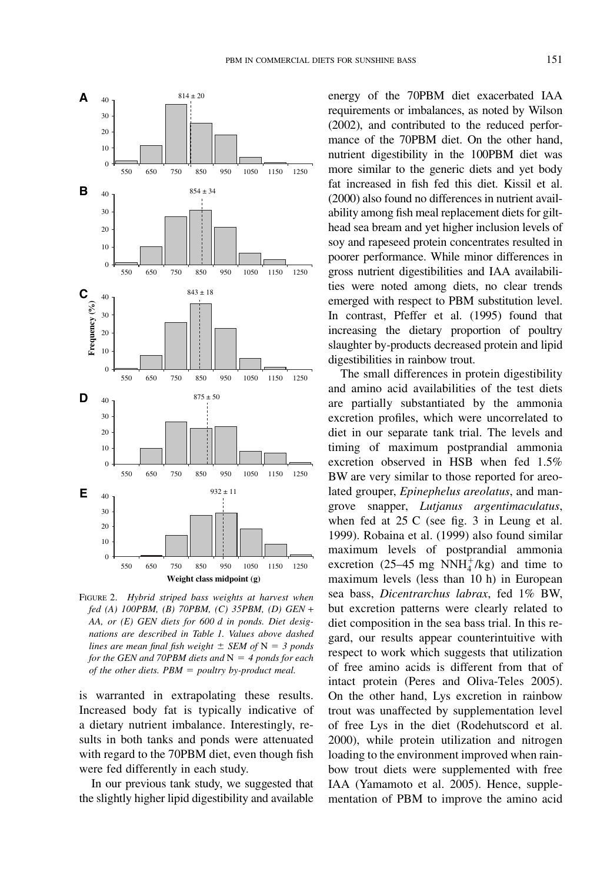

FIGURE 2. Hybrid striped bass weights at harvest when fed (A) 100PBM, (B) 70PBM, (C) 35PBM, (D) GEN + AA, or (E) GEN diets for 600 d in ponds. Diet designations are described in Table 1. Values above dashed lines are mean final fish weight  $\pm$  SEM of N = 3 ponds for the GEN and 70PBM diets and  $N = 4$  ponds for each of the other diets.  $PBM = \text{poultry}$  by-product meal.

is warranted in extrapolating these results. Increased body fat is typically indicative of a dietary nutrient imbalance. Interestingly, results in both tanks and ponds were attenuated with regard to the 70PBM diet, even though fish were fed differently in each study.

In our previous tank study, we suggested that the slightly higher lipid digestibility and available energy of the 70PBM diet exacerbated IAA requirements or imbalances, as noted by Wilson (2002), and contributed to the reduced performance of the 70PBM diet. On the other hand, nutrient digestibility in the 100PBM diet was more similar to the generic diets and yet body fat increased in fish fed this diet. Kissil et al. (2000) also found no differences in nutrient availability among fish meal replacement diets for gilthead sea bream and yet higher inclusion levels of soy and rapeseed protein concentrates resulted in poorer performance. While minor differences in gross nutrient digestibilities and IAA availabilities were noted among diets, no clear trends emerged with respect to PBM substitution level. In contrast, Pfeffer et al. (1995) found that increasing the dietary proportion of poultry slaughter by-products decreased protein and lipid digestibilities in rainbow trout.

The small differences in protein digestibility and amino acid availabilities of the test diets are partially substantiated by the ammonia excretion profiles, which were uncorrelated to diet in our separate tank trial. The levels and timing of maximum postprandial ammonia excretion observed in HSB when fed 1.5% BW are very similar to those reported for areolated grouper, Epinephelus areolatus, and mangrove snapper, Lutjanus argentimaculatus, when fed at 25 C (see fig. 3 in Leung et al. 1999). Robaina et al. (1999) also found similar maximum levels of postprandial ammonia excretion (25–45 mg  $NNH_4^+/kg$ ) and time to maximum levels (less than 10 h) in European sea bass, Dicentrarchus labrax, fed 1% BW, but excretion patterns were clearly related to diet composition in the sea bass trial. In this regard, our results appear counterintuitive with respect to work which suggests that utilization of free amino acids is different from that of intact protein (Peres and Oliva-Teles 2005). On the other hand, Lys excretion in rainbow trout was unaffected by supplementation level of free Lys in the diet (Rodehutscord et al. 2000), while protein utilization and nitrogen loading to the environment improved when rainbow trout diets were supplemented with free IAA (Yamamoto et al. 2005). Hence, supplementation of PBM to improve the amino acid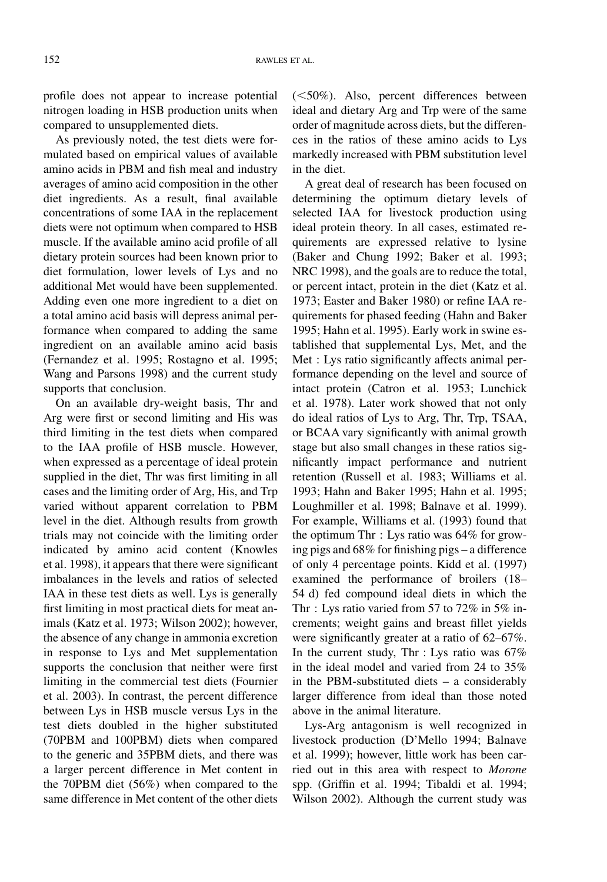profile does not appear to increase potential nitrogen loading in HSB production units when compared to unsupplemented diets.

As previously noted, the test diets were formulated based on empirical values of available amino acids in PBM and fish meal and industry averages of amino acid composition in the other diet ingredients. As a result, final available concentrations of some IAA in the replacement diets were not optimum when compared to HSB muscle. If the available amino acid profile of all dietary protein sources had been known prior to diet formulation, lower levels of Lys and no additional Met would have been supplemented. Adding even one more ingredient to a diet on a total amino acid basis will depress animal performance when compared to adding the same ingredient on an available amino acid basis (Fernandez et al. 1995; Rostagno et al. 1995; Wang and Parsons 1998) and the current study supports that conclusion.

On an available dry-weight basis, Thr and Arg were first or second limiting and His was third limiting in the test diets when compared to the IAA profile of HSB muscle. However, when expressed as a percentage of ideal protein supplied in the diet, Thr was first limiting in all cases and the limiting order of Arg, His, and Trp varied without apparent correlation to PBM level in the diet. Although results from growth trials may not coincide with the limiting order indicated by amino acid content (Knowles et al. 1998), it appears that there were significant imbalances in the levels and ratios of selected IAA in these test diets as well. Lys is generally first limiting in most practical diets for meat animals (Katz et al. 1973; Wilson 2002); however, the absence of any change in ammonia excretion in response to Lys and Met supplementation supports the conclusion that neither were first limiting in the commercial test diets (Fournier et al. 2003). In contrast, the percent difference between Lys in HSB muscle versus Lys in the test diets doubled in the higher substituted (70PBM and 100PBM) diets when compared to the generic and 35PBM diets, and there was a larger percent difference in Met content in the 70PBM diet (56%) when compared to the same difference in Met content of the other diets  $(<50\%)$ . Also, percent differences between ideal and dietary Arg and Trp were of the same order of magnitude across diets, but the differences in the ratios of these amino acids to Lys markedly increased with PBM substitution level in the diet.

A great deal of research has been focused on determining the optimum dietary levels of selected IAA for livestock production using ideal protein theory. In all cases, estimated requirements are expressed relative to lysine (Baker and Chung 1992; Baker et al. 1993; NRC 1998), and the goals are to reduce the total, or percent intact, protein in the diet (Katz et al. 1973; Easter and Baker 1980) or refine IAA requirements for phased feeding (Hahn and Baker 1995; Hahn et al. 1995). Early work in swine established that supplemental Lys, Met, and the Met : Lys ratio significantly affects animal performance depending on the level and source of intact protein (Catron et al. 1953; Lunchick et al. 1978). Later work showed that not only do ideal ratios of Lys to Arg, Thr, Trp, TSAA, or BCAA vary significantly with animal growth stage but also small changes in these ratios significantly impact performance and nutrient retention (Russell et al. 1983; Williams et al. 1993; Hahn and Baker 1995; Hahn et al. 1995; Loughmiller et al. 1998; Balnave et al. 1999). For example, Williams et al. (1993) found that the optimum Thr : Lys ratio was 64% for growing pigs and 68% for finishing pigs – a difference of only 4 percentage points. Kidd et al. (1997) examined the performance of broilers (18– 54 d) fed compound ideal diets in which the Thr : Lys ratio varied from 57 to 72% in 5% increments; weight gains and breast fillet yields were significantly greater at a ratio of 62–67%. In the current study, Thr : Lys ratio was 67% in the ideal model and varied from 24 to 35% in the PBM-substituted diets – a considerably larger difference from ideal than those noted above in the animal literature.

Lys-Arg antagonism is well recognized in livestock production (D'Mello 1994; Balnave et al. 1999); however, little work has been carried out in this area with respect to Morone spp. (Griffin et al. 1994; Tibaldi et al. 1994; Wilson 2002). Although the current study was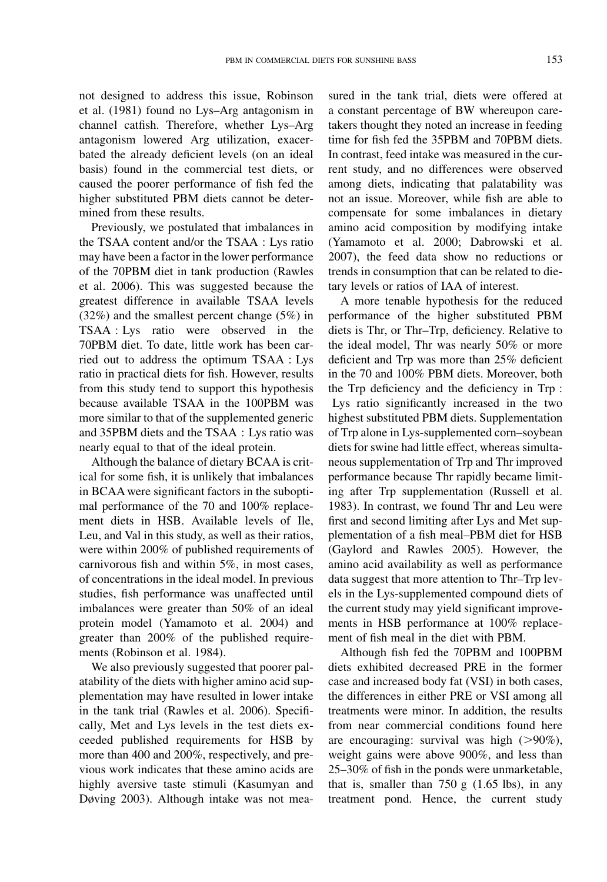not designed to address this issue, Robinson et al. (1981) found no Lys–Arg antagonism in channel catfish. Therefore, whether Lys–Arg antagonism lowered Arg utilization, exacerbated the already deficient levels (on an ideal basis) found in the commercial test diets, or caused the poorer performance of fish fed the higher substituted PBM diets cannot be determined from these results.

Previously, we postulated that imbalances in the TSAA content and/or the TSAA : Lys ratio may have been a factor in the lower performance of the 70PBM diet in tank production (Rawles et al. 2006). This was suggested because the greatest difference in available TSAA levels (32%) and the smallest percent change (5%) in TSAA : Lys ratio were observed in the 70PBM diet. To date, little work has been carried out to address the optimum TSAA : Lys ratio in practical diets for fish. However, results from this study tend to support this hypothesis because available TSAA in the 100PBM was more similar to that of the supplemented generic and 35PBM diets and the TSAA : Lys ratio was nearly equal to that of the ideal protein.

Although the balance of dietary BCAA is critical for some fish, it is unlikely that imbalances in BCAA were significant factors in the suboptimal performance of the 70 and 100% replacement diets in HSB. Available levels of Ile, Leu, and Val in this study, as well as their ratios, were within 200% of published requirements of carnivorous fish and within 5%, in most cases, of concentrations in the ideal model. In previous studies, fish performance was unaffected until imbalances were greater than 50% of an ideal protein model (Yamamoto et al. 2004) and greater than 200% of the published requirements (Robinson et al. 1984).

We also previously suggested that poorer palatability of the diets with higher amino acid supplementation may have resulted in lower intake in the tank trial (Rawles et al. 2006). Specifically, Met and Lys levels in the test diets exceeded published requirements for HSB by more than 400 and 200%, respectively, and previous work indicates that these amino acids are highly aversive taste stimuli (Kasumyan and Døving 2003). Although intake was not measured in the tank trial, diets were offered at a constant percentage of BW whereupon caretakers thought they noted an increase in feeding time for fish fed the 35PBM and 70PBM diets. In contrast, feed intake was measured in the current study, and no differences were observed among diets, indicating that palatability was not an issue. Moreover, while fish are able to compensate for some imbalances in dietary amino acid composition by modifying intake (Yamamoto et al. 2000; Dabrowski et al. 2007), the feed data show no reductions or trends in consumption that can be related to dietary levels or ratios of IAA of interest.

A more tenable hypothesis for the reduced performance of the higher substituted PBM diets is Thr, or Thr–Trp, deficiency. Relative to the ideal model, Thr was nearly 50% or more deficient and Trp was more than 25% deficient in the 70 and 100% PBM diets. Moreover, both the Trp deficiency and the deficiency in Trp : Lys ratio significantly increased in the two highest substituted PBM diets. Supplementation of Trp alone in Lys-supplemented corn–soybean diets for swine had little effect, whereas simultaneous supplementation of Trp and Thr improved performance because Thr rapidly became limiting after Trp supplementation (Russell et al. 1983). In contrast, we found Thr and Leu were first and second limiting after Lys and Met supplementation of a fish meal–PBM diet for HSB (Gaylord and Rawles 2005). However, the amino acid availability as well as performance data suggest that more attention to Thr–Trp levels in the Lys-supplemented compound diets of the current study may yield significant improvements in HSB performance at 100% replacement of fish meal in the diet with PBM.

Although fish fed the 70PBM and 100PBM diets exhibited decreased PRE in the former case and increased body fat (VSI) in both cases, the differences in either PRE or VSI among all treatments were minor. In addition, the results from near commercial conditions found here are encouraging: survival was high  $(>90\%)$ , weight gains were above 900%, and less than 25–30% of fish in the ponds were unmarketable, that is, smaller than  $750 \text{ g}$  (1.65 lbs), in any treatment pond. Hence, the current study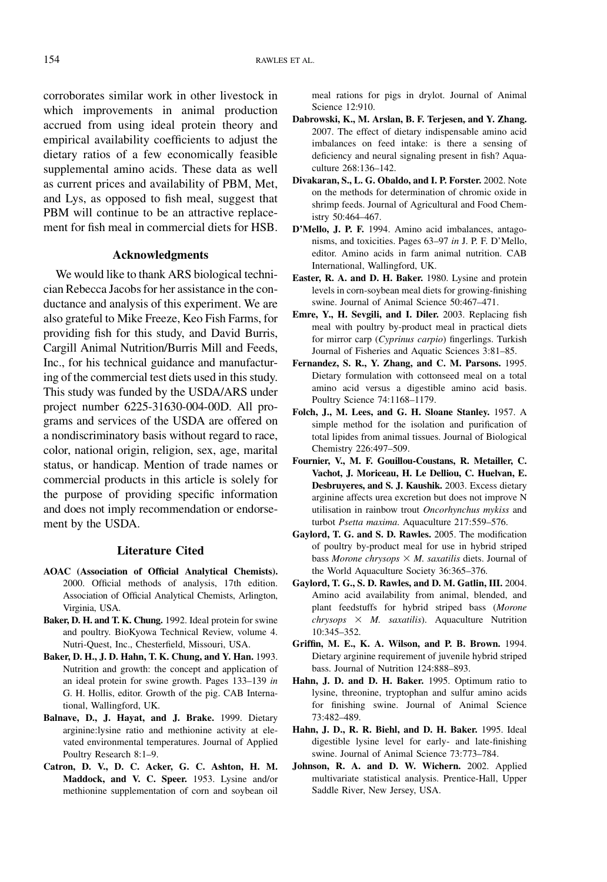corroborates similar work in other livestock in which improvements in animal production accrued from using ideal protein theory and empirical availability coefficients to adjust the dietary ratios of a few economically feasible supplemental amino acids. These data as well as current prices and availability of PBM, Met, and Lys, as opposed to fish meal, suggest that PBM will continue to be an attractive replacement for fish meal in commercial diets for HSB.

# Acknowledgments

We would like to thank ARS biological technician Rebecca Jacobs for her assistance in the conductance and analysis of this experiment. We are also grateful to Mike Freeze, Keo Fish Farms, for providing fish for this study, and David Burris, Cargill Animal Nutrition/Burris Mill and Feeds, Inc., for his technical guidance and manufacturing of the commercial test diets used in this study. This study was funded by the USDA/ARS under project number 6225-31630-004-00D. All programs and services of the USDA are offered on a nondiscriminatory basis without regard to race, color, national origin, religion, sex, age, marital status, or handicap. Mention of trade names or commercial products in this article is solely for the purpose of providing specific information and does not imply recommendation or endorsement by the USDA.

# Literature Cited

- AOAC (Association of Official Analytical Chemists). 2000. Official methods of analysis, 17th edition. Association of Official Analytical Chemists, Arlington, Virginia, USA.
- Baker, D. H. and T. K. Chung. 1992. Ideal protein for swine and poultry. BioKyowa Technical Review, volume 4. Nutri-Quest, Inc., Chesterfield, Missouri, USA.
- Baker, D. H., J. D. Hahn, T. K. Chung, and Y. Han. 1993. Nutrition and growth: the concept and application of an ideal protein for swine growth. Pages 133–139 in G. H. Hollis, editor. Growth of the pig. CAB International, Wallingford, UK.
- Balnave, D., J. Hayat, and J. Brake. 1999. Dietary arginine:lysine ratio and methionine activity at elevated environmental temperatures. Journal of Applied Poultry Research 8:1–9.
- Catron, D. V., D. C. Acker, G. C. Ashton, H. M. Maddock, and V. C. Speer. 1953. Lysine and/or methionine supplementation of corn and soybean oil

meal rations for pigs in drylot. Journal of Animal Science 12:910.

- Dabrowski, K., M. Arslan, B. F. Terjesen, and Y. Zhang. 2007. The effect of dietary indispensable amino acid imbalances on feed intake: is there a sensing of deficiency and neural signaling present in fish? Aquaculture 268:136–142.
- Divakaran, S., L. G. Obaldo, and I. P. Forster. 2002. Note on the methods for determination of chromic oxide in shrimp feeds. Journal of Agricultural and Food Chemistry 50:464–467.
- D'Mello, J. P. F. 1994. Amino acid imbalances, antagonisms, and toxicities. Pages 63–97 in J. P. F. D'Mello, editor. Amino acids in farm animal nutrition. CAB International, Wallingford, UK.
- Easter, R. A. and D. H. Baker. 1980. Lysine and protein levels in corn-soybean meal diets for growing-finishing swine. Journal of Animal Science 50:467–471.
- Emre, Y., H. Sevgili, and I. Diler. 2003. Replacing fish meal with poultry by-product meal in practical diets for mirror carp (Cyprinus carpio) fingerlings. Turkish Journal of Fisheries and Aquatic Sciences 3:81–85.
- Fernandez, S. R., Y. Zhang, and C. M. Parsons. 1995. Dietary formulation with cottonseed meal on a total amino acid versus a digestible amino acid basis. Poultry Science 74:1168–1179.
- Folch, J., M. Lees, and G. H. Sloane Stanley. 1957. A simple method for the isolation and purification of total lipides from animal tissues. Journal of Biological Chemistry 226:497–509.
- Fournier, V., M. F. Gouillou-Coustans, R. Metailler, C. Vachot, J. Moriceau, H. Le Delliou, C. Huelvan, E. Desbruyeres, and S. J. Kaushik. 2003. Excess dietary arginine affects urea excretion but does not improve N utilisation in rainbow trout Oncorhynchus mykiss and turbot Psetta maxima. Aquaculture 217:559–576.
- Gaylord, T. G. and S. D. Rawles. 2005. The modification of poultry by-product meal for use in hybrid striped bass Morone chrysops  $\times$  M. saxatilis diets. Journal of the World Aquaculture Society 36:365–376.
- Gaylord, T. G., S. D. Rawles, and D. M. Gatlin, III. 2004. Amino acid availability from animal, blended, and plant feedstuffs for hybrid striped bass (Morone  $chrysops \times M.$  saxatilis). Aquaculture Nutrition 10:345–352.
- Griffin, M. E., K. A. Wilson, and P. B. Brown. 1994. Dietary arginine requirement of juvenile hybrid striped bass. Journal of Nutrition 124:888–893.
- Hahn, J. D. and D. H. Baker. 1995. Optimum ratio to lysine, threonine, tryptophan and sulfur amino acids for finishing swine. Journal of Animal Science 73:482–489.
- Hahn, J. D., R. R. Biehl, and D. H. Baker. 1995. Ideal digestible lysine level for early- and late-finishing swine. Journal of Animal Science 73:773–784.
- Johnson, R. A. and D. W. Wichern. 2002. Applied multivariate statistical analysis. Prentice-Hall, Upper Saddle River, New Jersey, USA.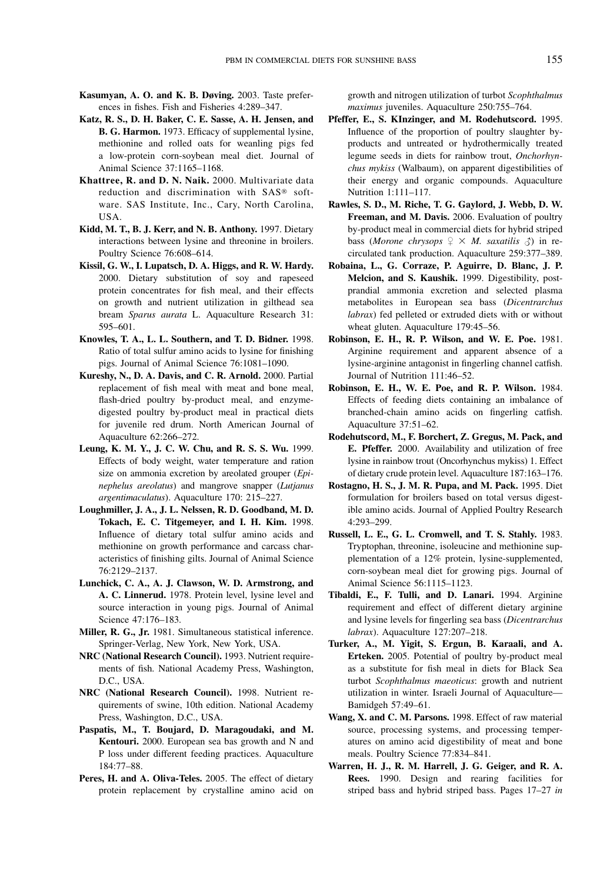- Kasumyan, A. O. and K. B. Døving. 2003. Taste preferences in fishes. Fish and Fisheries 4:289–347.
- Katz, R. S., D. H. Baker, C. E. Sasse, A. H. Jensen, and B. G. Harmon. 1973. Efficacy of supplemental lysine, methionine and rolled oats for weanling pigs fed a low-protein corn-soybean meal diet. Journal of Animal Science 37:1165–1168.
- Khattree, R. and D. N. Naik. 2000. Multivariate data reduction and discrimination with SAS® software. SAS Institute, Inc., Cary, North Carolina, USA.
- Kidd, M. T., B. J. Kerr, and N. B. Anthony. 1997. Dietary interactions between lysine and threonine in broilers. Poultry Science 76:608–614.
- Kissil, G. W., I. Lupatsch, D. A. Higgs, and R. W. Hardy. 2000. Dietary substitution of soy and rapeseed protein concentrates for fish meal, and their effects on growth and nutrient utilization in gilthead sea bream Sparus aurata L. Aquaculture Research 31: 595–601.
- Knowles, T. A., L. L. Southern, and T. D. Bidner. 1998. Ratio of total sulfur amino acids to lysine for finishing pigs. Journal of Animal Science 76:1081–1090.
- Kureshy, N., D. A. Davis, and C. R. Arnold. 2000. Partial replacement of fish meal with meat and bone meal, flash-dried poultry by-product meal, and enzymedigested poultry by-product meal in practical diets for juvenile red drum. North American Journal of Aquaculture 62:266–272.
- Leung, K. M. Y., J. C. W. Chu, and R. S. S. Wu. 1999. Effects of body weight, water temperature and ration size on ammonia excretion by areolated grouper (Epinephelus areolatus) and mangrove snapper (Lutjanus argentimaculatus). Aquaculture 170: 215–227.
- Loughmiller, J. A., J. L. Nelssen, R. D. Goodband, M. D. Tokach, E. C. Titgemeyer, and I. H. Kim. 1998. Influence of dietary total sulfur amino acids and methionine on growth performance and carcass characteristics of finishing gilts. Journal of Animal Science 76:2129–2137.
- Lunchick, C. A., A. J. Clawson, W. D. Armstrong, and A. C. Linnerud. 1978. Protein level, lysine level and source interaction in young pigs. Journal of Animal Science 47:176–183.
- Miller, R. G., Jr. 1981. Simultaneous statistical inference. Springer-Verlag, New York, New York, USA.
- NRC (National Research Council). 1993. Nutrient requirements of fish. National Academy Press, Washington, D.C., USA.
- NRC (National Research Council). 1998. Nutrient requirements of swine, 10th edition. National Academy Press, Washington, D.C., USA.
- Paspatis, M., T. Boujard, D. Maragoudaki, and M. Kentouri. 2000. European sea bas growth and N and P loss under different feeding practices. Aquaculture 184:77–88.
- Peres, H. and A. Oliva-Teles. 2005. The effect of dietary protein replacement by crystalline amino acid on

growth and nitrogen utilization of turbot Scophthalmus maximus juveniles. Aquaculture 250:755–764.

- Pfeffer, E., S. KInzinger, and M. Rodehutscord. 1995. Influence of the proportion of poultry slaughter byproducts and untreated or hydrothermically treated legume seeds in diets for rainbow trout, Onchorhynchus mykiss (Walbaum), on apparent digestibilities of their energy and organic compounds. Aquaculture Nutrition 1:111–117.
- Rawles, S. D., M. Riche, T. G. Gaylord, J. Webb, D. W. Freeman, and M. Davis. 2006. Evaluation of poultry by-product meal in commercial diets for hybrid striped bass (Morone chrysops  $\varphi \times M$ . saxatilis  $\varphi$ ) in recirculated tank production. Aquaculture 259:377–389.
- Robaina, L., G. Corraze, P. Aguirre, D. Blanc, J. P. Melcion, and S. Kaushik. 1999. Digestibility, postprandial ammonia excretion and selected plasma metabolites in European sea bass (Dicentrarchus labrax) fed pelleted or extruded diets with or without wheat gluten. Aquaculture 179:45–56.
- Robinson, E. H., R. P. Wilson, and W. E. Poe. 1981. Arginine requirement and apparent absence of a lysine-arginine antagonist in fingerling channel catfish. Journal of Nutrition 111:46–52.
- Robinson, E. H., W. E. Poe, and R. P. Wilson. 1984. Effects of feeding diets containing an imbalance of branched-chain amino acids on fingerling catfish. Aquaculture 37:51–62.
- Rodehutscord, M., F. Borchert, Z. Gregus, M. Pack, and E. Pfeffer. 2000. Availability and utilization of free lysine in rainbow trout (Oncorhynchus mykiss) 1. Effect of dietary crude protein level. Aquaculture 187:163–176.
- Rostagno, H. S., J. M. R. Pupa, and M. Pack. 1995. Diet formulation for broilers based on total versus digestible amino acids. Journal of Applied Poultry Research 4:293–299.
- Russell, L. E., G. L. Cromwell, and T. S. Stahly. 1983. Tryptophan, threonine, isoleucine and methionine supplementation of a 12% protein, lysine-supplemented, corn-soybean meal diet for growing pigs. Journal of Animal Science 56:1115–1123.
- Tibaldi, E., F. Tulli, and D. Lanari. 1994. Arginine requirement and effect of different dietary arginine and lysine levels for fingerling sea bass (Dicentrarchus labrax). Aquaculture 127:207–218.
- Turker, A., M. Yigit, S. Ergun, B. Karaali, and A. Erteken. 2005. Potential of poultry by-product meal as a substitute for fish meal in diets for Black Sea turbot Scophthalmus maeoticus: growth and nutrient utilization in winter. Israeli Journal of Aquaculture— Bamidgeh 57:49–61.
- Wang, X. and C. M. Parsons. 1998. Effect of raw material source, processing systems, and processing temperatures on amino acid digestibility of meat and bone meals. Poultry Science 77:834–841.
- Warren, H. J., R. M. Harrell, J. G. Geiger, and R. A. Rees. 1990. Design and rearing facilities for striped bass and hybrid striped bass. Pages 17–27 in